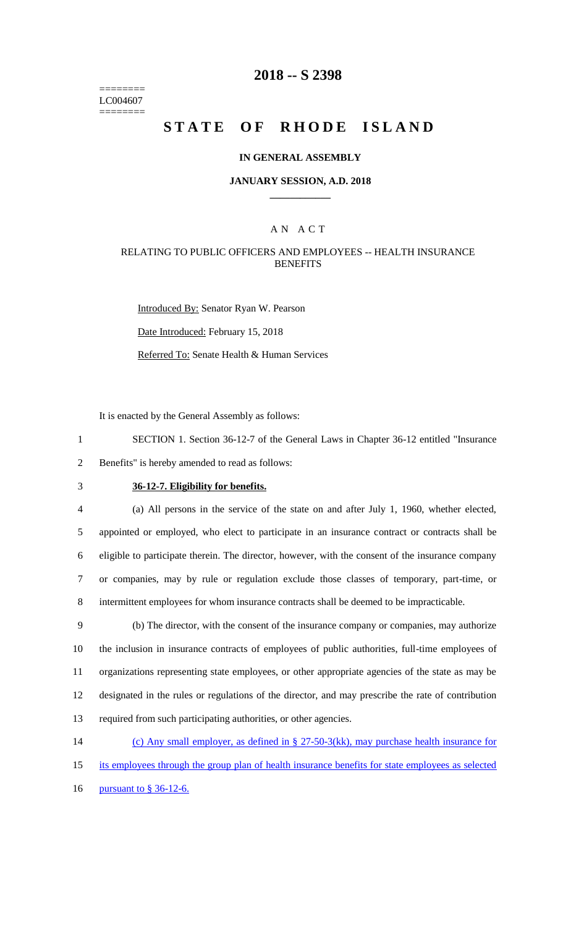======== LC004607 ========

### **2018 -- S 2398**

# **STATE OF RHODE ISLAND**

#### **IN GENERAL ASSEMBLY**

#### **JANUARY SESSION, A.D. 2018 \_\_\_\_\_\_\_\_\_\_\_\_**

### A N A C T

### RELATING TO PUBLIC OFFICERS AND EMPLOYEES -- HEALTH INSURANCE **BENEFITS**

Introduced By: Senator Ryan W. Pearson Date Introduced: February 15, 2018 Referred To: Senate Health & Human Services

It is enacted by the General Assembly as follows:

1 SECTION 1. Section 36-12-7 of the General Laws in Chapter 36-12 entitled "Insurance 2 Benefits" is hereby amended to read as follows:

# 3 **36-12-7. Eligibility for benefits.**

 (a) All persons in the service of the state on and after July 1, 1960, whether elected, appointed or employed, who elect to participate in an insurance contract or contracts shall be eligible to participate therein. The director, however, with the consent of the insurance company or companies, may by rule or regulation exclude those classes of temporary, part-time, or intermittent employees for whom insurance contracts shall be deemed to be impracticable.

 (b) The director, with the consent of the insurance company or companies, may authorize the inclusion in insurance contracts of employees of public authorities, full-time employees of organizations representing state employees, or other appropriate agencies of the state as may be designated in the rules or regulations of the director, and may prescribe the rate of contribution required from such participating authorities, or other agencies.

- 14 (c) Any small employer, as defined in § 27-50-3(kk), may purchase health insurance for
- 15 its employees through the group plan of health insurance benefits for state employees as selected
- 16 <u>pursuant to § 36-12-6.</u>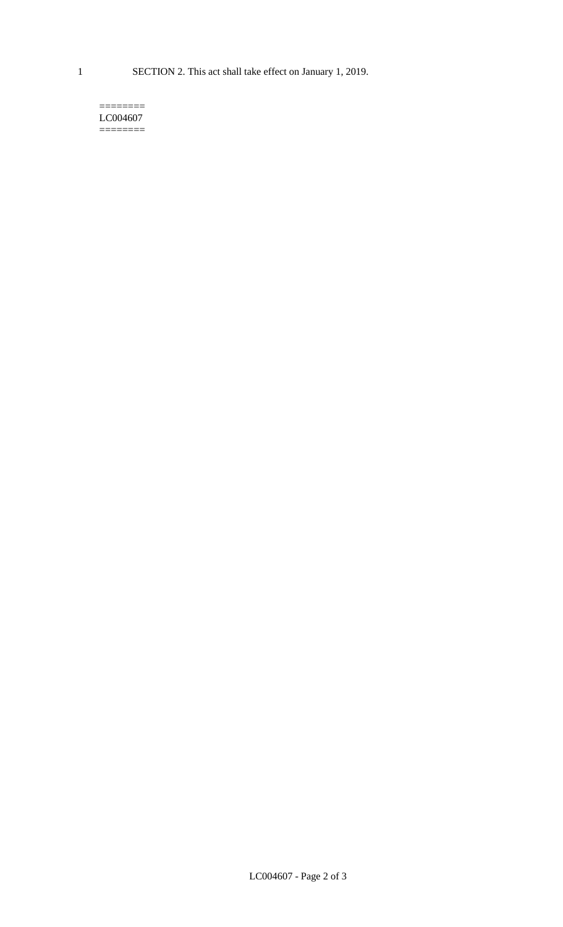1 SECTION 2. This act shall take effect on January 1, 2019.

#### $=$ LC004607 ========

LC004607 - Page 2 of 3